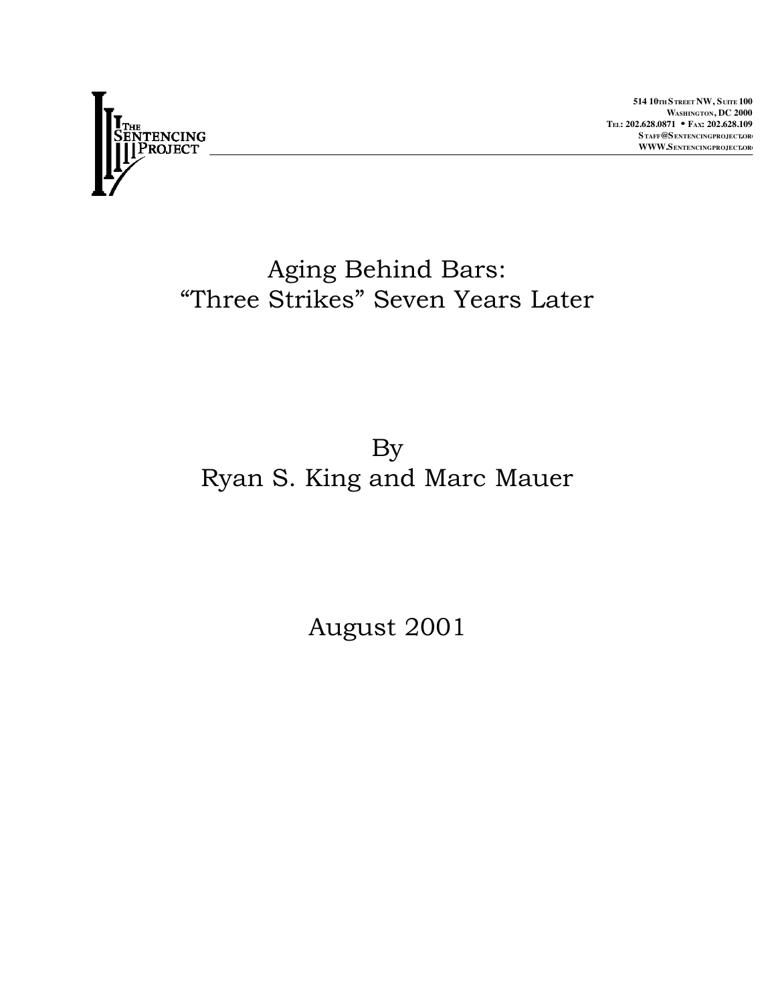

**514 10TH STREET NW, SUITE 100** WASHINGTON, DC 2000 TEL: 202.628.0871 • **FAX: 202.628.109** STAFF@SENTENCINGPROJECT.OR WWW.SENTENCINGPROJECT.OR

# Aging Behind Bars: "Three Strikes" Seven Years Later

# By Ryan S. King and Marc Mauer

August 2001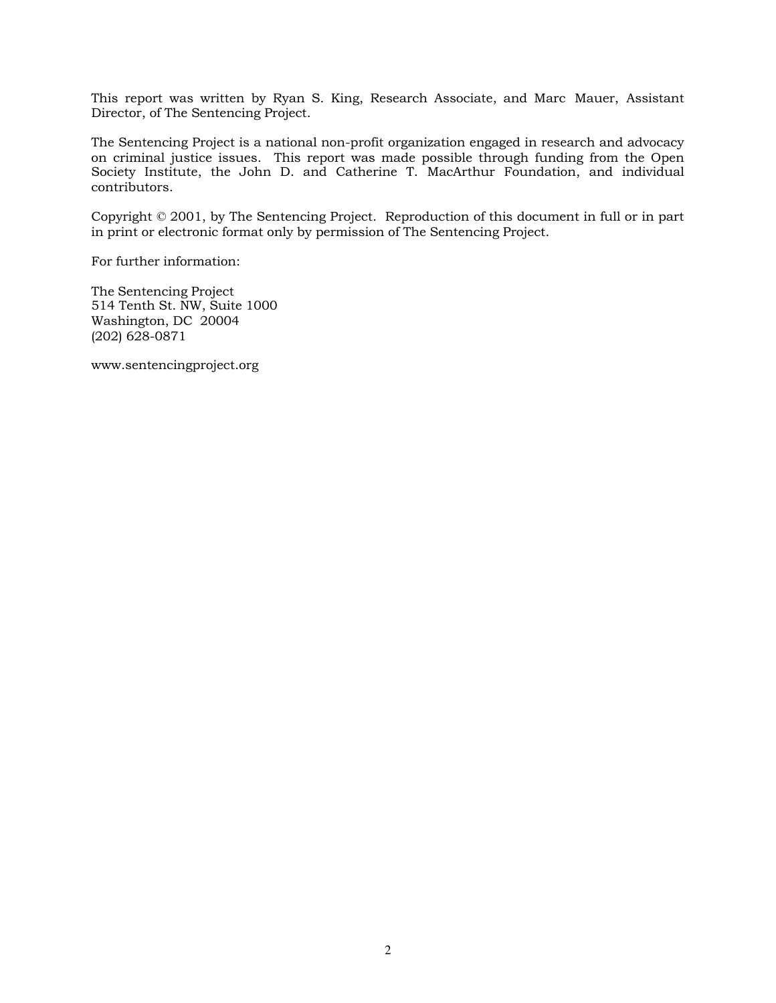This report was written by Ryan S. King, Research Associate, and Marc Mauer, Assistant Director, of The Sentencing Project.

The Sentencing Project is a national non-profit organization engaged in research and advocacy on criminal justice issues. This report was made possible through funding from the Open Society Institute, the John D. and Catherine T. MacArthur Foundation, and individual contributors.

Copyright © 2001, by The Sentencing Project. Reproduction of this document in full or in part in print or electronic format only by permission of The Sentencing Project.

For further information:

The Sentencing Project 514 Tenth St. NW, Suite 1000 Washington, DC 20004 (202) 628-0871

www.sentencingproject.org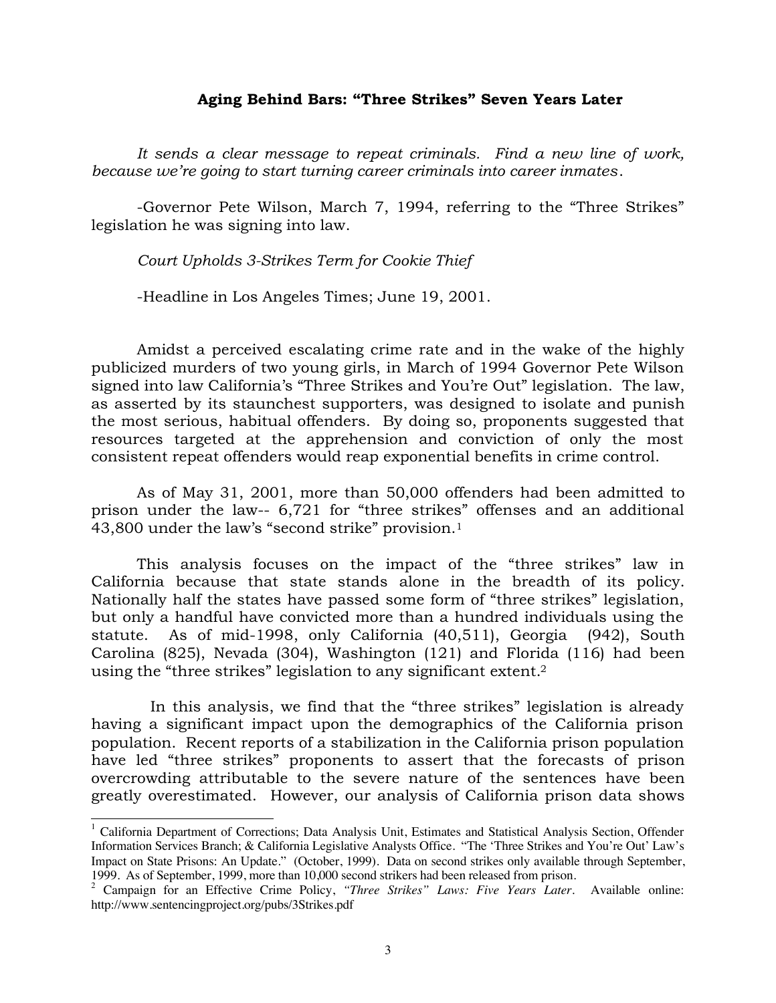### **Aging Behind Bars: "Three Strikes" Seven Years Later**

*It sends a clear message to repeat criminals. Find a new line of work, because we're going to start turning career criminals into career inmates*.

-Governor Pete Wilson, March 7, 1994, referring to the "Three Strikes" legislation he was signing into law.

*Court Upholds 3-Strikes Term for Cookie Thief*

-Headline in Los Angeles Times; June 19, 2001.

Amidst a perceived escalating crime rate and in the wake of the highly publicized murders of two young girls, in March of 1994 Governor Pete Wilson signed into law California's "Three Strikes and You're Out" legislation. The law, as asserted by its staunchest supporters, was designed to isolate and punish the most serious, habitual offenders. By doing so, proponents suggested that resources targeted at the apprehension and conviction of only the most consistent repeat offenders would reap exponential benefits in crime control.

As of May 31, 2001, more than 50,000 offenders had been admitted to prison under the law-- 6,721 for "three strikes" offenses and an additional 43,800 under the law's "second strike" provision.1

This analysis focuses on the impact of the "three strikes" law in California because that state stands alone in the breadth of its policy. Nationally half the states have passed some form of "three strikes" legislation, but only a handful have convicted more than a hundred individuals using the statute. As of mid-1998, only California (40,511), Georgia (942), South Carolina (825), Nevada (304), Washington (121) and Florida (116) had been using the "three strikes" legislation to any significant extent.2

 In this analysis, we find that the "three strikes" legislation is already having a significant impact upon the demographics of the California prison population. Recent reports of a stabilization in the California prison population have led "three strikes" proponents to assert that the forecasts of prison overcrowding attributable to the severe nature of the sentences have been greatly overestimated. However, our analysis of California prison data shows

<sup>&</sup>lt;sup>1</sup> California Department of Corrections; Data Analysis Unit, Estimates and Statistical Analysis Section, Offender Information Services Branch; & California Legislative Analysts Office. "The 'Three Strikes and You're Out' Law's Impact on State Prisons: An Update." (October, 1999). Data on second strikes only available through September, 1999. As of September, 1999, more than 10,000 second strikers had been released from prison.

<sup>2</sup> Campaign for an Effective Crime Policy, *"Three Strikes" Laws: Five Years Later.* Available online: http://www.sentencingproject.org/pubs/3Strikes.pdf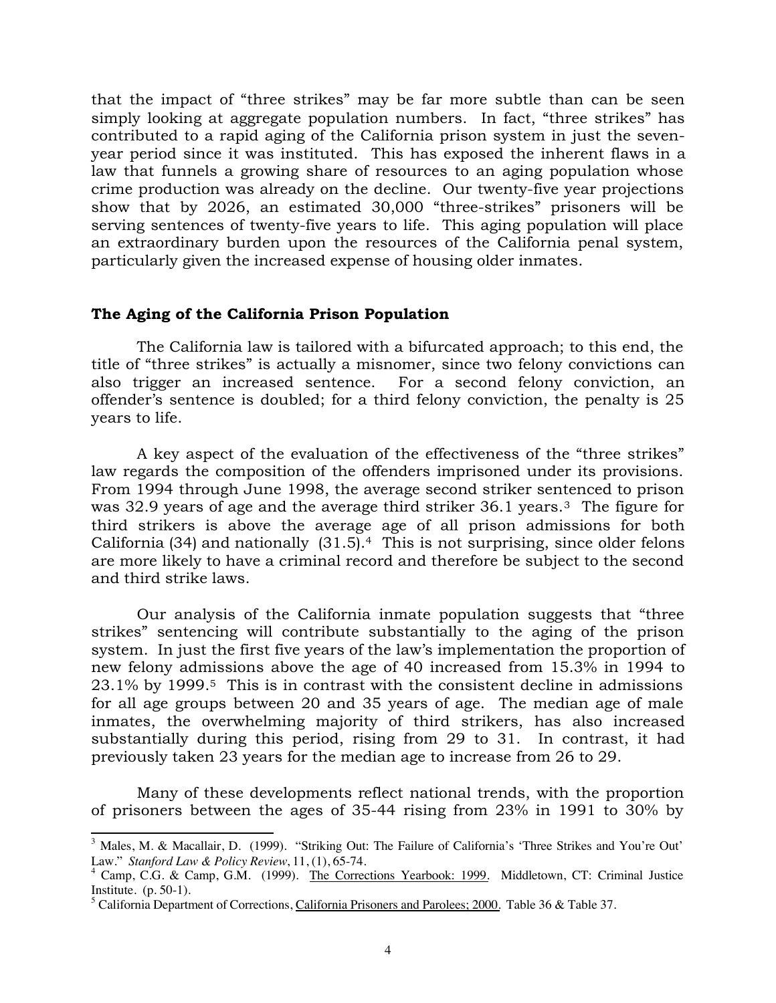that the impact of "three strikes" may be far more subtle than can be seen simply looking at aggregate population numbers. In fact, "three strikes" has contributed to a rapid aging of the California prison system in just the sevenyear period since it was instituted. This has exposed the inherent flaws in a law that funnels a growing share of resources to an aging population whose crime production was already on the decline. Our twenty-five year projections show that by 2026, an estimated 30,000 "three-strikes" prisoners will be serving sentences of twenty-five years to life. This aging population will place an extraordinary burden upon the resources of the California penal system, particularly given the increased expense of housing older inmates.

#### **The Aging of the California Prison Population**

The California law is tailored with a bifurcated approach; to this end, the title of "three strikes" is actually a misnomer, since two felony convictions can also trigger an increased sentence. For a second felony conviction, an offender's sentence is doubled; for a third felony conviction, the penalty is 25 years to life.

A key aspect of the evaluation of the effectiveness of the "three strikes" law regards the composition of the offenders imprisoned under its provisions. From 1994 through June 1998, the average second striker sentenced to prison was 32.9 years of age and the average third striker 36.1 years.<sup>3</sup> The figure for third strikers is above the average age of all prison admissions for both California (34) and nationally  $(31.5).4$  This is not surprising, since older felons are more likely to have a criminal record and therefore be subject to the second and third strike laws.

Our analysis of the California inmate population suggests that "three strikes" sentencing will contribute substantially to the aging of the prison system. In just the first five years of the law's implementation the proportion of new felony admissions above the age of 40 increased from 15.3% in 1994 to 23.1% by 1999.5 This is in contrast with the consistent decline in admissions for all age groups between 20 and 35 years of age. The median age of male inmates, the overwhelming majority of third strikers, has also increased substantially during this period, rising from 29 to 31. In contrast, it had previously taken 23 years for the median age to increase from 26 to 29.

Many of these developments reflect national trends, with the proportion of prisoners between the ages of 35-44 rising from 23% in 1991 to 30% by

<sup>&</sup>lt;sup>3</sup> Males, M. & Macallair, D. (1999). "Striking Out: The Failure of California's 'Three Strikes and You're Out' Law." *Stanford Law & Policy Review*, 11, (1), 65-74. <sup>4</sup>

<sup>&</sup>lt;sup>4</sup> Camp, C.G. & Camp, G.M. (1999). The Corrections Yearbook: 1999. Middletown, CT: Criminal Justice Institute. (p. 50-1).<br><sup>5</sup> California Department of Corrections, <u>California Prisoners and Parolees; 2000</u>. Table 36 & Table 37.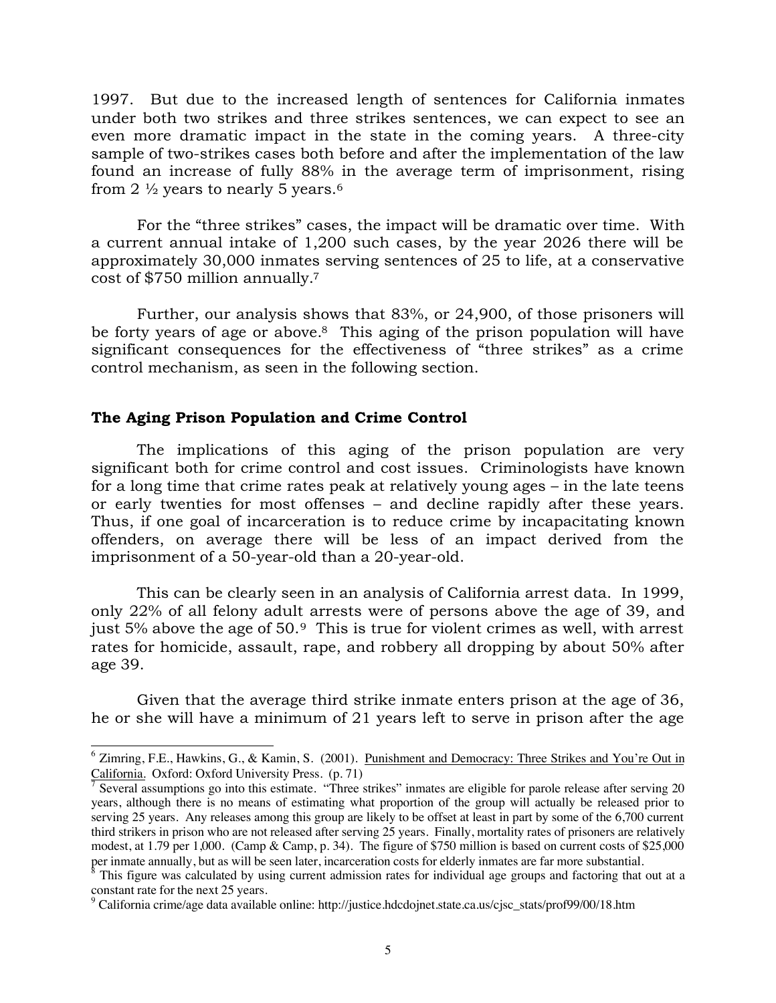1997. But due to the increased length of sentences for California inmates under both two strikes and three strikes sentences, we can expect to see an even more dramatic impact in the state in the coming years. A three-city sample of two-strikes cases both before and after the implementation of the law found an increase of fully 88% in the average term of imprisonment, rising from 2  $\frac{1}{2}$  years to nearly 5 years.<sup>6</sup>

For the "three strikes" cases, the impact will be dramatic over time. With a current annual intake of 1,200 such cases, by the year 2026 there will be approximately 30,000 inmates serving sentences of 25 to life, at a conservative cost of \$750 million annually.7

Further, our analysis shows that 83%, or 24,900, of those prisoners will be forty years of age or above.<sup>8</sup> This aging of the prison population will have significant consequences for the effectiveness of "three strikes" as a crime control mechanism, as seen in the following section.

## **The Aging Prison Population and Crime Control**

The implications of this aging of the prison population are very significant both for crime control and cost issues. Criminologists have known for a long time that crime rates peak at relatively young ages – in the late teens or early twenties for most offenses – and decline rapidly after these years. Thus, if one goal of incarceration is to reduce crime by incapacitating known offenders, on average there will be less of an impact derived from the imprisonment of a 50-year-old than a 20-year-old.

This can be clearly seen in an analysis of California arrest data. In 1999, only 22% of all felony adult arrests were of persons above the age of 39, and just 5% above the age of 50.9 This is true for violent crimes as well, with arrest rates for homicide, assault, rape, and robbery all dropping by about 50% after age 39.

Given that the average third strike inmate enters prison at the age of 36, he or she will have a minimum of 21 years left to serve in prison after the age

<sup>&</sup>lt;sup>6</sup> Zimring, F.E., Hawkins, G., & Kamin, S. (2001). Punishment and Democracy: Three Strikes and You're Out in California. Oxford: Oxford University Press. (p. 71)

 $\sqrt{7}$  Several assumptions go into this estimate. "Three strikes" inmates are eligible for parole release after serving 20 years, although there is no means of estimating what proportion of the group will actually be released prior to serving 25 years. Any releases among this group are likely to be offset at least in part by some of the 6,700 current third strikers in prison who are not released after serving 25 years. Finally, mortality rates of prisoners are relatively modest, at 1.79 per 1,000. (Camp & Camp, p. 34). The figure of \$750 million is based on current costs of \$25,000

per inmate annually, but as will be seen later, incarceration costs for elderly inmates are far more substantial.<br><sup>8</sup> This figure was calculated by using current admission rates for individual age groups and factoring that constant rate for the next 25 years.<br><sup>9</sup> Celifornia grima/aga data availab

California crime/age data available online: http://justice.hdcdojnet.state.ca.us/cjsc\_stats/prof99/00/18.htm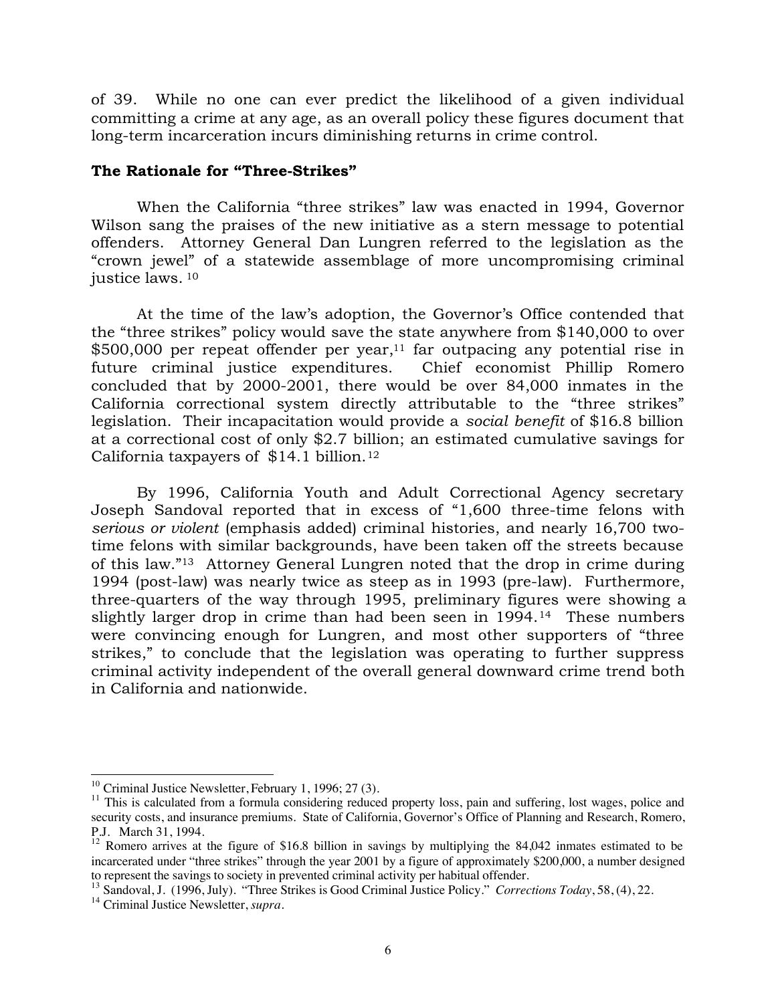of 39. While no one can ever predict the likelihood of a given individual committing a crime at any age, as an overall policy these figures document that long-term incarceration incurs diminishing returns in crime control.

## **The Rationale for "Three-Strikes"**

When the California "three strikes" law was enacted in 1994, Governor Wilson sang the praises of the new initiative as a stern message to potential offenders. Attorney General Dan Lungren referred to the legislation as the "crown jewel" of a statewide assemblage of more uncompromising criminal justice laws. <sup>10</sup>

At the time of the law's adoption, the Governor's Office contended that the "three strikes" policy would save the state anywhere from \$140,000 to over \$500,000 per repeat offender per year,11 far outpacing any potential rise in future criminal justice expenditures. Chief economist Phillip Romero concluded that by 2000-2001, there would be over 84,000 inmates in the California correctional system directly attributable to the "three strikes" legislation. Their incapacitation would provide a *social benefit* of \$16.8 billion at a correctional cost of only \$2.7 billion; an estimated cumulative savings for California taxpayers of \$14.1 billion.12

By 1996, California Youth and Adult Correctional Agency secretary Joseph Sandoval reported that in excess of "1,600 three-time felons with *serious or violent* (emphasis added) criminal histories, and nearly 16,700 twotime felons with similar backgrounds, have been taken off the streets because of this law."13 Attorney General Lungren noted that the drop in crime during 1994 (post-law) was nearly twice as steep as in 1993 (pre-law). Furthermore, three-quarters of the way through 1995, preliminary figures were showing a slightly larger drop in crime than had been seen in 1994.<sup>14</sup> These numbers were convincing enough for Lungren, and most other supporters of "three strikes," to conclude that the legislation was operating to further suppress criminal activity independent of the overall general downward crime trend both in California and nationwide.

13 Sandoval, J. (1996, July). "Three Strikes is Good Criminal Justice Policy." *Corrections Today*, 58, (4), 22. 14 Criminal Justice Newsletter, *supra.*

<sup>&</sup>lt;sup>10</sup> Criminal Justice Newsletter, February 1, 1996; 27 (3).<br><sup>11</sup> This is calculated from a formula considering reduced property loss, pain and suffering, lost wages, police and security costs, and insurance premiums. State of California, Governor's Office of Planning and Research, Romero, P.J. March 31, 1994.

<sup>&</sup>lt;sup>12</sup> Romero arrives at the figure of \$16.8 billion in savings by multiplying the 84,042 inmates estimated to be incarcerated under "three strikes" through the year 2001 by a figure of approximately \$200,000, a number designed to represent the savings to society in prevented criminal activity per habitual offender.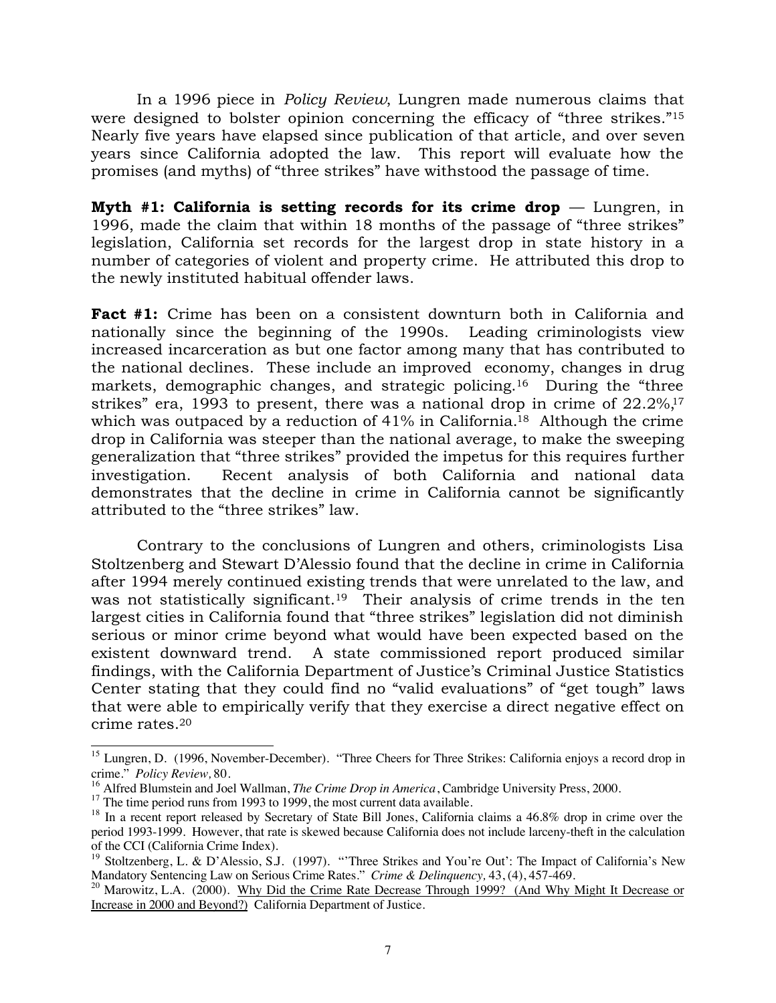In a 1996 piece in *Policy Review*, Lungren made numerous claims that were designed to bolster opinion concerning the efficacy of "three strikes."<sup>15</sup> Nearly five years have elapsed since publication of that article, and over seven years since California adopted the law. This report will evaluate how the promises (and myths) of "three strikes" have withstood the passage of time.

**Myth #1: California is setting records for its crime drop** — Lungren, in 1996, made the claim that within 18 months of the passage of "three strikes" legislation, California set records for the largest drop in state history in a number of categories of violent and property crime. He attributed this drop to the newly instituted habitual offender laws.

**Fact #1:** Crime has been on a consistent downturn both in California and nationally since the beginning of the 1990s. Leading criminologists view increased incarceration as but one factor among many that has contributed to the national declines. These include an improved economy, changes in drug markets, demographic changes, and strategic policing.<sup>16</sup> During the "three strikes" era, 1993 to present, there was a national drop in crime of  $22.2\%$ ,<sup>17</sup> which was outpaced by a reduction of 41% in California.<sup>18</sup> Although the crime drop in California was steeper than the national average, to make the sweeping generalization that "three strikes" provided the impetus for this requires further investigation. Recent analysis of both California and national data demonstrates that the decline in crime in California cannot be significantly attributed to the "three strikes" law.

Contrary to the conclusions of Lungren and others, criminologists Lisa Stoltzenberg and Stewart D'Alessio found that the decline in crime in California after 1994 merely continued existing trends that were unrelated to the law, and was not statistically significant.<sup>19</sup> Their analysis of crime trends in the ten largest cities in California found that "three strikes" legislation did not diminish serious or minor crime beyond what would have been expected based on the existent downward trend. A state commissioned report produced similar findings, with the California Department of Justice's Criminal Justice Statistics Center stating that they could find no "valid evaluations" of "get tough" laws that were able to empirically verify that they exercise a direct negative effect on crime rates.20

<sup>&</sup>lt;sup>15</sup> Lungren, D. (1996, November-December). "Three Cheers for Three Strikes: California enjoys a record drop in crime." *Policy Review,* 80.

<sup>&</sup>lt;sup>17</sup> The time period runs from 1993 to 1999, the most current data available.<br><sup>18</sup> In a recent report released by Secretary of State Bill Jones, California claims a 46.8% drop in crime over the period 1993-1999. However, that rate is skewed because California does not include larceny-theft in the calculation of the CCI (California Crime Index).

<sup>&</sup>lt;sup>19</sup> Stoltzenberg, L. & D'Alessio, S.J. (1997). "'Three Strikes and You're Out': The Impact of California's New Mandatory Sentencing Law on Serious Crime Rates." *Crime & Delinquency,* 43, (4), 457-469.

<sup>&</sup>lt;sup>20</sup> Marowitz, L.A. (2000). Why Did the Crime Rate Decrease Through 1999? (And Why Might It Decrease or Increase in 2000 and Beyond?) California Department of Justice.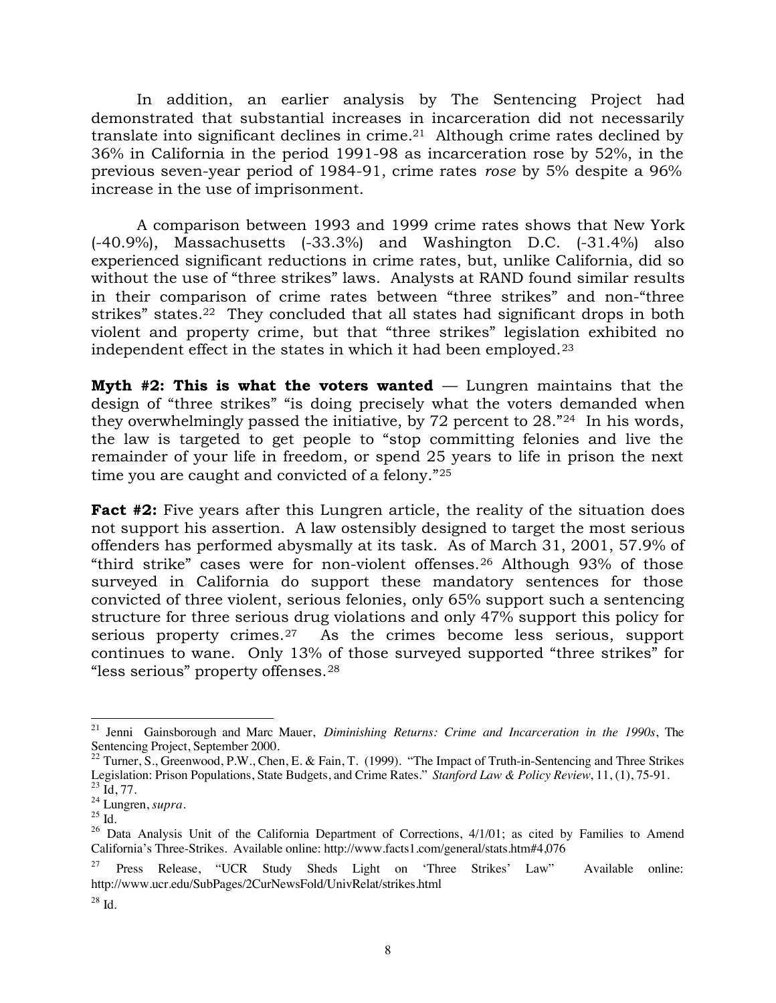In addition, an earlier analysis by The Sentencing Project had demonstrated that substantial increases in incarceration did not necessarily translate into significant declines in crime.21 Although crime rates declined by 36% in California in the period 1991-98 as incarceration rose by 52%, in the previous seven-year period of 1984-91, crime rates *rose* by 5% despite a 96% increase in the use of imprisonment.

A comparison between 1993 and 1999 crime rates shows that New York (-40.9%), Massachusetts (-33.3%) and Washington D.C. (-31.4%) also experienced significant reductions in crime rates, but, unlike California, did so without the use of "three strikes" laws. Analysts at RAND found similar results in their comparison of crime rates between "three strikes" and non-"three strikes" states.22 They concluded that all states had significant drops in both violent and property crime, but that "three strikes" legislation exhibited no independent effect in the states in which it had been employed.<sup>23</sup>

**Myth #2: This is what the voters wanted** — Lungren maintains that the design of "three strikes" "is doing precisely what the voters demanded when they overwhelmingly passed the initiative, by 72 percent to 28."24 In his words, the law is targeted to get people to "stop committing felonies and live the remainder of your life in freedom, or spend 25 years to life in prison the next time you are caught and convicted of a felony."25

**Fact #2:** Five years after this Lungren article, the reality of the situation does not support his assertion. A law ostensibly designed to target the most serious offenders has performed abysmally at its task. As of March 31, 2001, 57.9% of "third strike" cases were for non-violent offenses.26 Although 93% of those surveyed in California do support these mandatory sentences for those convicted of three violent, serious felonies, only 65% support such a sentencing structure for three serious drug violations and only 47% support this policy for serious property crimes.27 As the crimes become less serious, support continues to wane. Only 13% of those surveyed supported "three strikes" for "less serious" property offenses.28

 <sup>21</sup> Jenni Gainsborough and Marc Mauer, *Diminishing Returns: Crime and Incarceration in the 1990s*, The Sentencing Project, September 2000.

<sup>&</sup>lt;sup>22</sup> Turner, S., Greenwood, P.W., Chen, E. & Fain, T. (1999). "The Impact of Truth-in-Sentencing and Three Strikes Legislation: Prison Populations, State Budgets, and Crime Rates." *Stanford Law & Policy Review*, 11, (1), 75-91.<br><sup>23</sup> Id. 77.

<sup>&</sup>lt;sup>24</sup> Lungren, *supra*.

 $^{25}$  Id.  $\,$ 

<sup>&</sup>lt;sup>26</sup> Data Analysis Unit of the California Department of Corrections,  $4/1/01$ ; as cited by Families to Amend California's Three-Strikes. Available online: http://www.facts1.com/general/stats.htm#4,076

<sup>27</sup> Press Release, "UCR Study Sheds Light on 'Three Strikes' Law" Available online: http://www.ucr.edu/SubPages/2CurNewsFold/UnivRelat/strikes.html

 $28$  Id.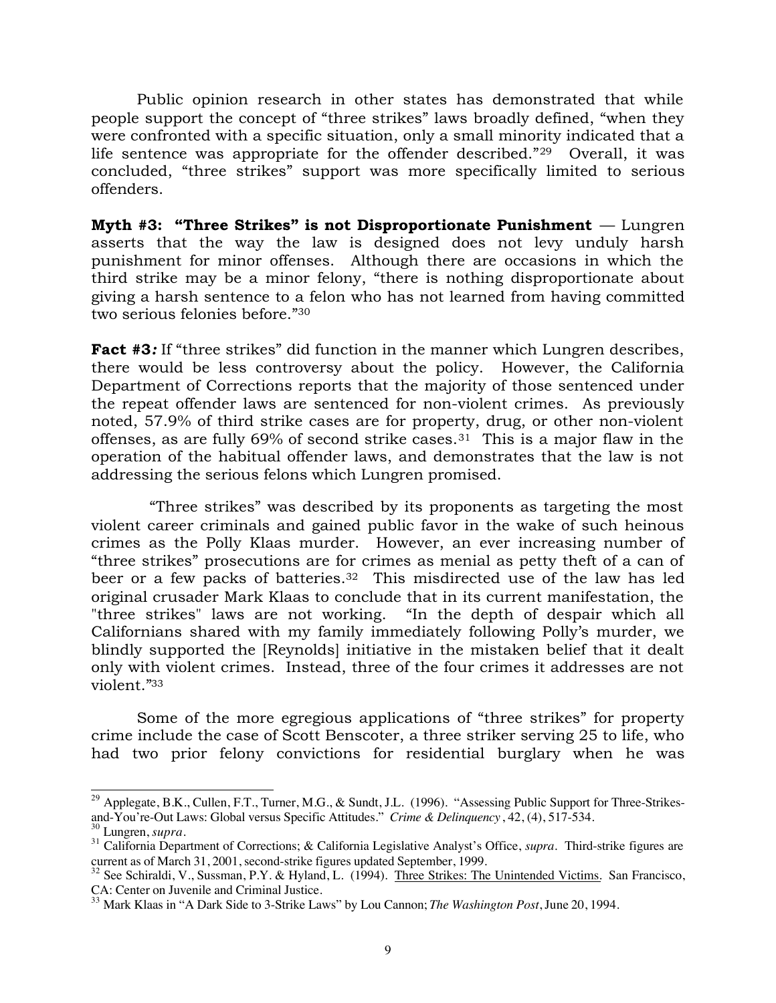Public opinion research in other states has demonstrated that while people support the concept of "three strikes" laws broadly defined, "when they were confronted with a specific situation, only a small minority indicated that a life sentence was appropriate for the offender described."29 Overall, it was concluded, "three strikes" support was more specifically limited to serious offenders.

**Myth #3: "Three Strikes" is not Disproportionate Punishment** — Lungren asserts that the way the law is designed does not levy unduly harsh punishment for minor offenses. Although there are occasions in which the third strike may be a minor felony, "there is nothing disproportionate about giving a harsh sentence to a felon who has not learned from having committed two serious felonies before."30

**Fact #3**: If "three strikes" did function in the manner which Lungren describes, there would be less controversy about the policy. However, the California Department of Corrections reports that the majority of those sentenced under the repeat offender laws are sentenced for non-violent crimes. As previously noted, 57.9% of third strike cases are for property, drug, or other non-violent offenses, as are fully 69% of second strike cases.31 This is a major flaw in the operation of the habitual offender laws, and demonstrates that the law is not addressing the serious felons which Lungren promised.

 "Three strikes" was described by its proponents as targeting the most violent career criminals and gained public favor in the wake of such heinous crimes as the Polly Klaas murder. However, an ever increasing number of "three strikes" prosecutions are for crimes as menial as petty theft of a can of beer or a few packs of batteries.<sup>32</sup> This misdirected use of the law has led original crusader Mark Klaas to conclude that in its current manifestation, the "three strikes" laws are not working. "In the depth of despair which all Californians shared with my family immediately following Polly's murder, we blindly supported the [Reynolds] initiative in the mistaken belief that it dealt only with violent crimes. Instead, three of the four crimes it addresses are not violent."33

Some of the more egregious applications of "three strikes" for property crime include the case of Scott Benscoter, a three striker serving 25 to life, who had two prior felony convictions for residential burglary when he was

<sup>&</sup>lt;sup>29</sup> Applegate, B.K., Cullen, F.T., Turner, M.G., & Sundt, J.L. (1996). "Assessing Public Support for Three-Strikesand-You're-Out Laws: Global versus Specific Attitudes." *Crime & Delinquency*, 42, (4), 517-534.

<sup>30</sup> Lungren, *supra.*

<sup>31</sup> California Department of Corrections; & California Legislative Analyst's Office, *supra.* Third-strike figures are current as of March 31, 2001, second-strike figures updated September, 1999.

<sup>&</sup>lt;sup>32</sup> See Schiraldi, V., Sussman, P.Y. & Hyland, L. (1994). Three Strikes: The Unintended Victims. San Francisco, CA: Center on Juvenile and Criminal Justice.

<sup>33</sup> Mark Klaas in "A Dark Side to 3-Strike Laws" by Lou Cannon; *The Washington Post*, June 20, 1994.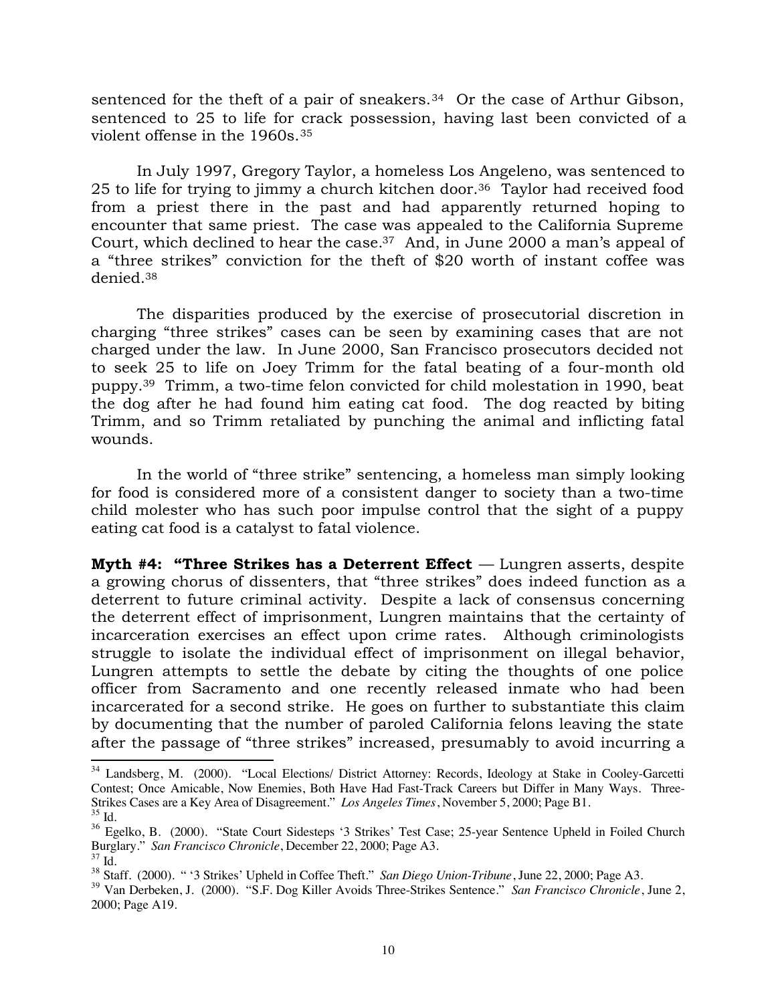sentenced for the theft of a pair of sneakers.<sup>34</sup> Or the case of Arthur Gibson, sentenced to 25 to life for crack possession, having last been convicted of a violent offense in the 1960s.35

In July 1997, Gregory Taylor, a homeless Los Angeleno, was sentenced to 25 to life for trying to jimmy a church kitchen door.36 Taylor had received food from a priest there in the past and had apparently returned hoping to encounter that same priest. The case was appealed to the California Supreme Court, which declined to hear the case.37 And, in June 2000 a man's appeal of a "three strikes" conviction for the theft of \$20 worth of instant coffee was denied.38

The disparities produced by the exercise of prosecutorial discretion in charging "three strikes" cases can be seen by examining cases that are not charged under the law. In June 2000, San Francisco prosecutors decided not to seek 25 to life on Joey Trimm for the fatal beating of a four-month old puppy.39 Trimm, a two-time felon convicted for child molestation in 1990, beat the dog after he had found him eating cat food. The dog reacted by biting Trimm, and so Trimm retaliated by punching the animal and inflicting fatal wounds.

In the world of "three strike" sentencing, a homeless man simply looking for food is considered more of a consistent danger to society than a two-time child molester who has such poor impulse control that the sight of a puppy eating cat food is a catalyst to fatal violence.

**Myth #4: "Three Strikes has a Deterrent Effect** — Lungren asserts, despite a growing chorus of dissenters, that "three strikes" does indeed function as a deterrent to future criminal activity. Despite a lack of consensus concerning the deterrent effect of imprisonment, Lungren maintains that the certainty of incarceration exercises an effect upon crime rates. Although criminologists struggle to isolate the individual effect of imprisonment on illegal behavior, Lungren attempts to settle the debate by citing the thoughts of one police officer from Sacramento and one recently released inmate who had been incarcerated for a second strike. He goes on further to substantiate this claim by documenting that the number of paroled California felons leaving the state after the passage of "three strikes" increased, presumably to avoid incurring a

<sup>&</sup>lt;sup>34</sup> Landsberg, M. (2000). "Local Elections/ District Attorney: Records, Ideology at Stake in Cooley-Garcetti Contest; Once Amicable, Now Enemies, Both Have Had Fast-Track Careers but Differ in Many Ways. Three-Strikes Cases are a Key Area of Disagreement." *Los Angeles Times*, November 5, 2000; Page B1. <sup>35</sup> Id.

<sup>&</sup>lt;sup>36</sup> Egelko, B. (2000). "State Court Sidesteps '3 Strikes' Test Case; 25-year Sentence Upheld in Foiled Church Burglary." *San Francisco Chronicle*, December 22, 2000; Page A3.

 $\frac{37}{38}$  Id.<br> $\frac{38}{38}$  Staff. (2000). " '3 Strikes' Upheld in Coffee Theft." San Diego Union-Tribune, June 22, 2000; Page A3.

<sup>&</sup>lt;sup>39</sup> Van Derbeken, J. (2000). "S.F. Dog Killer Avoids Three-Strikes Sentence." San Francisco Chronicle, June 2, 2000; Page A19.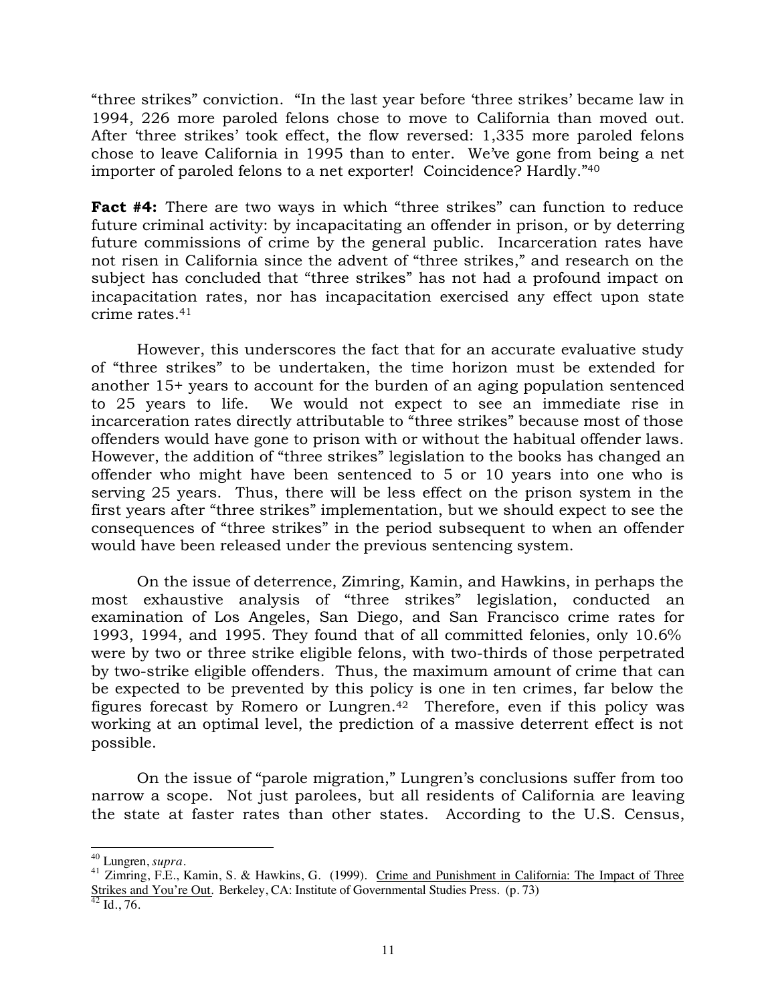"three strikes" conviction. "In the last year before 'three strikes' became law in 1994, 226 more paroled felons chose to move to California than moved out. After 'three strikes' took effect, the flow reversed: 1,335 more paroled felons chose to leave California in 1995 than to enter. We've gone from being a net importer of paroled felons to a net exporter! Coincidence? Hardly."40

**Fact #4:** There are two ways in which "three strikes" can function to reduce future criminal activity: by incapacitating an offender in prison, or by deterring future commissions of crime by the general public. Incarceration rates have not risen in California since the advent of "three strikes," and research on the subject has concluded that "three strikes" has not had a profound impact on incapacitation rates, nor has incapacitation exercised any effect upon state crime rates.41

However, this underscores the fact that for an accurate evaluative study of "three strikes" to be undertaken, the time horizon must be extended for another 15+ years to account for the burden of an aging population sentenced to 25 years to life. We would not expect to see an immediate rise in incarceration rates directly attributable to "three strikes" because most of those offenders would have gone to prison with or without the habitual offender laws. However, the addition of "three strikes" legislation to the books has changed an offender who might have been sentenced to 5 or 10 years into one who is serving 25 years. Thus, there will be less effect on the prison system in the first years after "three strikes" implementation, but we should expect to see the consequences of "three strikes" in the period subsequent to when an offender would have been released under the previous sentencing system.

On the issue of deterrence, Zimring, Kamin, and Hawkins, in perhaps the most exhaustive analysis of "three strikes" legislation, conducted an examination of Los Angeles, San Diego, and San Francisco crime rates for 1993, 1994, and 1995. They found that of all committed felonies, only 10.6% were by two or three strike eligible felons, with two-thirds of those perpetrated by two-strike eligible offenders. Thus, the maximum amount of crime that can be expected to be prevented by this policy is one in ten crimes, far below the figures forecast by Romero or Lungren.42 Therefore, even if this policy was working at an optimal level, the prediction of a massive deterrent effect is not possible.

On the issue of "parole migration," Lungren's conclusions suffer from too narrow a scope. Not just parolees, but all residents of California are leaving the state at faster rates than other states. According to the U.S. Census,

<sup>&</sup>lt;sup>40</sup> Lungren, *supra*.<br><sup>41</sup> Zimring, F.E., Kamin, S. & Hawkins, G. (1999). Crime and Punishment in California: The Impact of Three Strikes and You're Out. Berkeley, CA: Institute of Governmental Studies Press. (p. 73)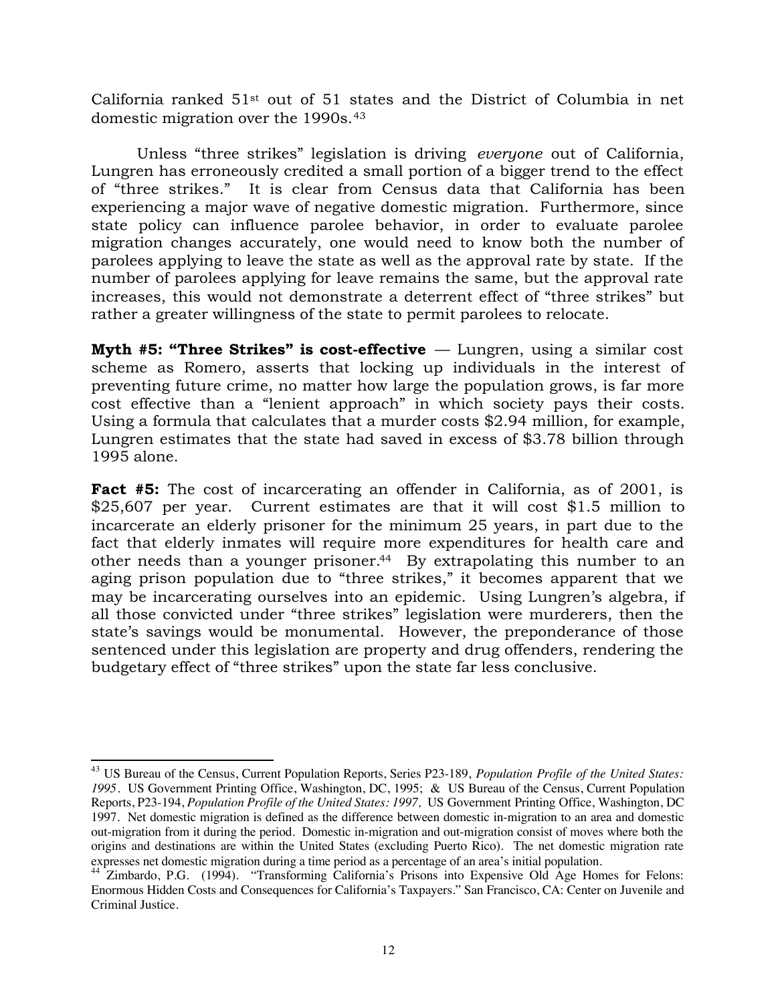California ranked 51st out of 51 states and the District of Columbia in net domestic migration over the 1990s.43

Unless "three strikes" legislation is driving *everyone* out of California, Lungren has erroneously credited a small portion of a bigger trend to the effect of "three strikes." It is clear from Census data that California has been experiencing a major wave of negative domestic migration. Furthermore, since state policy can influence parolee behavior, in order to evaluate parolee migration changes accurately, one would need to know both the number of parolees applying to leave the state as well as the approval rate by state. If the number of parolees applying for leave remains the same, but the approval rate increases, this would not demonstrate a deterrent effect of "three strikes" but rather a greater willingness of the state to permit parolees to relocate.

**Myth #5: "Three Strikes" is cost-effective** — Lungren, using a similar cost scheme as Romero, asserts that locking up individuals in the interest of preventing future crime, no matter how large the population grows, is far more cost effective than a "lenient approach" in which society pays their costs. Using a formula that calculates that a murder costs \$2.94 million, for example, Lungren estimates that the state had saved in excess of \$3.78 billion through 1995 alone.

**Fact #5:** The cost of incarcerating an offender in California, as of 2001, is \$25,607 per year. Current estimates are that it will cost \$1.5 million to incarcerate an elderly prisoner for the minimum 25 years, in part due to the fact that elderly inmates will require more expenditures for health care and other needs than a younger prisoner.<sup>44</sup> By extrapolating this number to an aging prison population due to "three strikes," it becomes apparent that we may be incarcerating ourselves into an epidemic. Using Lungren's algebra, if all those convicted under "three strikes" legislation were murderers, then the state's savings would be monumental. However, the preponderance of those sentenced under this legislation are property and drug offenders, rendering the budgetary effect of "three strikes" upon the state far less conclusive.

 <sup>43</sup> US Bureau of the Census, Current Population Reports, Series P23-189, *Population Profile of the United States: 1995*. US Government Printing Office, Washington, DC, 1995; & US Bureau of the Census, Current Population Reports, P23-194, *Population Profile of the United States: 1997,* US Government Printing Office, Washington, DC 1997. Net domestic migration is defined as the difference between domestic in-migration to an area and domestic out-migration from it during the period. Domestic in-migration and out-migration consist of moves where both the origins and destinations are within the United States (excluding Puerto Rico). The net domestic migration rate expresses net domestic migration during a time period as a percentage of an area's initial population.

<sup>44</sup> Zimbardo, P.G. (1994). "Transforming California's Prisons into Expensive Old Age Homes for Felons: Enormous Hidden Costs and Consequences for California's Taxpayers." San Francisco, CA: Center on Juvenile and Criminal Justice.